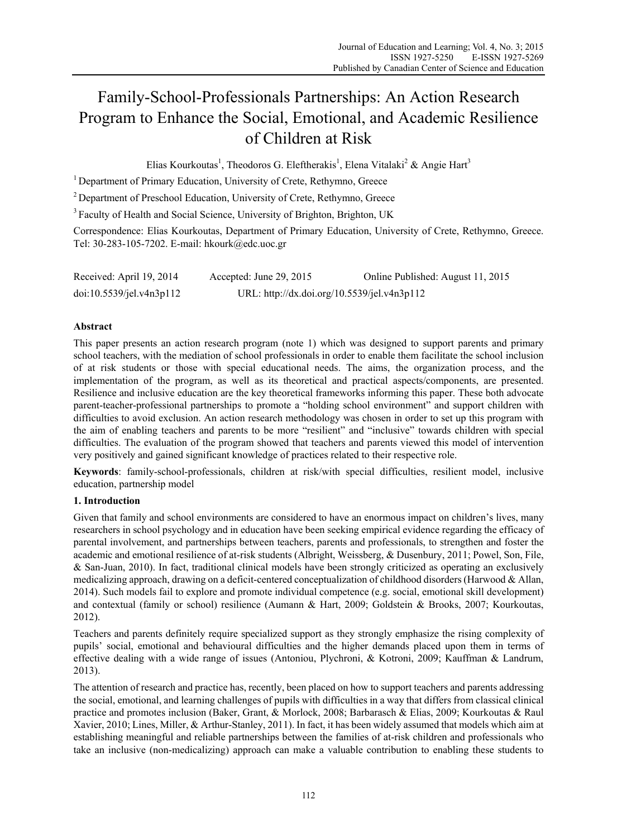# Family-School-Professionals Partnerships: An Action Research Program to Enhance the Social, Emotional, and Academic Resilience of Children at Risk

Elias Kourkoutas<sup>1</sup>, Theodoros G. Eleftherakis<sup>1</sup>, Elena Vitalaki<sup>2</sup> & Angie Hart<sup>3</sup>

<sup>1</sup> Department of Primary Education, University of Crete, Rethymno, Greece

2 Department of Preschool Education, University of Crete, Rethymno, Greece

<sup>3</sup> Faculty of Health and Social Science, University of Brighton, Brighton, UK

Correspondence: Elias Kourkoutas, Department of Primary Education, University of Crete, Rethymno, Greece. Tel: 30-283-105-7202. E-mail: hkourk@edc.uoc.gr

Received: April 19, 2014 Accepted: June 29, 2015 Online Published: August 11, 2015 doi:10.5539/jel.v4n3p112 URL: http://dx.doi.org/10.5539/jel.v4n3p112

# **Abstract**

This paper presents an action research program (note 1) which was designed to support parents and primary school teachers, with the mediation of school professionals in order to enable them facilitate the school inclusion of at risk students or those with special educational needs. The aims, the organization process, and the implementation of the program, as well as its theoretical and practical aspects/components, are presented. Resilience and inclusive education are the key theoretical frameworks informing this paper. These both advocate parent-teacher-professional partnerships to promote a "holding school environment" and support children with difficulties to avoid exclusion. An action research methodology was chosen in order to set up this program with the aim of enabling teachers and parents to be more "resilient" and "inclusive" towards children with special difficulties. The evaluation of the program showed that teachers and parents viewed this model of intervention very positively and gained significant knowledge of practices related to their respective role.

**Keywords**: family-school-professionals, children at risk/with special difficulties, resilient model, inclusive education, partnership model

# **1. Introduction**

Given that family and school environments are considered to have an enormous impact on children's lives, many researchers in school psychology and in education have been seeking empirical evidence regarding the efficacy of parental involvement, and partnerships between teachers, parents and professionals, to strengthen and foster the academic and emotional resilience of at-risk students (Albright, Weissberg, & Dusenbury, 2011; Powel, Son, File, & San-Juan, 2010). In fact, traditional clinical models have been strongly criticized as operating an exclusively medicalizing approach, drawing on a deficit-centered conceptualization of childhood disorders (Harwood & Allan, 2014). Such models fail to explore and promote individual competence (e.g. social, emotional skill development) and contextual (family or school) resilience (Aumann & Hart, 2009; Goldstein & Brooks, 2007; Kourkoutas, 2012).

Teachers and parents definitely require specialized support as they strongly emphasize the rising complexity of pupils' social, emotional and behavioural difficulties and the higher demands placed upon them in terms of effective dealing with a wide range of issues (Antoniou, Plychroni, & Kotroni, 2009; Kauffman & Landrum, 2013).

The attention of research and practice has, recently, been placed on how to support teachers and parents addressing the social, emotional, and learning challenges of pupils with difficulties in a way that differs from classical clinical practice and promotes inclusion (Baker, Grant, & Morlock, 2008; Barbarasch & Elias, 2009; Kourkoutas & Raul Xavier, 2010; Lines, Miller, & Arthur-Stanley, 2011). In fact, it has been widely assumed that models which aim at establishing meaningful and reliable partnerships between the families of at-risk children and professionals who take an inclusive (non-medicalizing) approach can make a valuable contribution to enabling these students to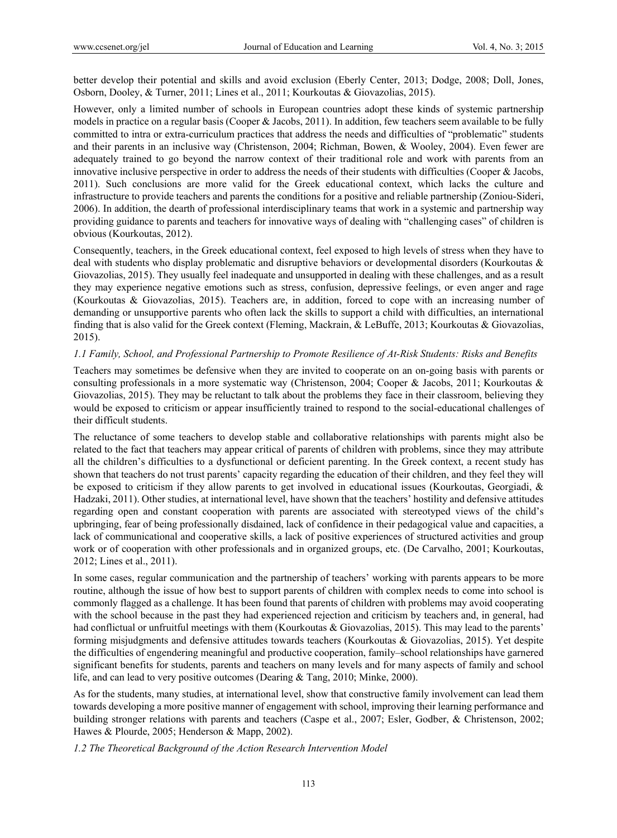better develop their potential and skills and avoid exclusion (Eberly Center, 2013; Dodge, 2008; Doll, Jones, Osborn, Dooley, & Turner, 2011; Lines et al., 2011; Kourkoutas & Giovazolias, 2015).

However, only a limited number of schools in European countries adopt these kinds of systemic partnership models in practice on a regular basis (Cooper & Jacobs, 2011). In addition, few teachers seem available to be fully committed to intra or extra-curriculum practices that address the needs and difficulties of "problematic" students and their parents in an inclusive way (Christenson, 2004; Richman, Bowen, & Wooley, 2004). Even fewer are adequately trained to go beyond the narrow context of their traditional role and work with parents from an innovative inclusive perspective in order to address the needs of their students with difficulties (Cooper & Jacobs, 2011). Such conclusions are more valid for the Greek educational context, which lacks the culture and infrastructure to provide teachers and parents the conditions for a positive and reliable partnership (Zoniou-Sideri, 2006). In addition, the dearth of professional interdisciplinary teams that work in a systemic and partnership way providing guidance to parents and teachers for innovative ways of dealing with "challenging cases" of children is obvious (Kourkoutas, 2012).

Consequently, teachers, in the Greek educational context, feel exposed to high levels of stress when they have to deal with students who display problematic and disruptive behaviors or developmental disorders (Kourkoutas & Giovazolias, 2015). They usually feel inadequate and unsupported in dealing with these challenges, and as a result they may experience negative emotions such as stress, confusion, depressive feelings, or even anger and rage (Kourkoutas & Giovazolias, 2015). Teachers are, in addition, forced to cope with an increasing number of demanding or unsupportive parents who often lack the skills to support a child with difficulties, an international finding that is also valid for the Greek context (Fleming, Mackrain, & LeBuffe, 2013; Kourkoutas & Giovazolias, 2015).

#### *1.1 Family, School, and Professional Partnership to Promote Resilience of At-Risk Students: Risks and Benefits*

Teachers may sometimes be defensive when they are invited to cooperate on an on-going basis with parents or consulting professionals in a more systematic way (Christenson, 2004; Cooper & Jacobs, 2011; Kourkoutas & Giovazolias, 2015). They may be reluctant to talk about the problems they face in their classroom, believing they would be exposed to criticism or appear insufficiently trained to respond to the social-educational challenges of their difficult students.

The reluctance of some teachers to develop stable and collaborative relationships with parents might also be related to the fact that teachers may appear critical of parents of children with problems, since they may attribute all the children's difficulties to a dysfunctional or deficient parenting. In the Greek context, a recent study has shown that teachers do not trust parents' capacity regarding the education of their children, and they feel they will be exposed to criticism if they allow parents to get involved in educational issues (Kourkoutas, Georgiadi, & Hadzaki, 2011). Other studies, at international level, have shown that the teachers' hostility and defensive attitudes regarding open and constant cooperation with parents are associated with stereotyped views of the child's upbringing, fear of being professionally disdained, lack of confidence in their pedagogical value and capacities, a lack of communicational and cooperative skills, a lack of positive experiences of structured activities and group work or of cooperation with other professionals and in organized groups, etc. (De Carvalho, 2001; Kourkoutas, 2012; Lines et al., 2011).

In some cases, regular communication and the partnership of teachers' working with parents appears to be more routine, although the issue of how best to support parents of children with complex needs to come into school is commonly flagged as a challenge. It has been found that parents of children with problems may avoid cooperating with the school because in the past they had experienced rejection and criticism by teachers and, in general, had had conflictual or unfruitful meetings with them (Kourkoutas & Giovazolias, 2015). This may lead to the parents' forming misjudgments and defensive attitudes towards teachers (Kourkoutas & Giovazolias, 2015). Yet despite the difficulties of engendering meaningful and productive cooperation, family–school relationships have garnered significant benefits for students, parents and teachers on many levels and for many aspects of family and school life, and can lead to very positive outcomes (Dearing & Tang, 2010; Minke, 2000).

As for the students, many studies, at international level, show that constructive family involvement can lead them towards developing a more positive manner of engagement with school, improving their learning performance and building stronger relations with parents and teachers (Caspe et al., 2007; Esler, Godber, & Christenson, 2002; Hawes & Plourde, 2005; Henderson & Mapp, 2002).

*1.2 The Theoretical Background of the Action Research Intervention Model*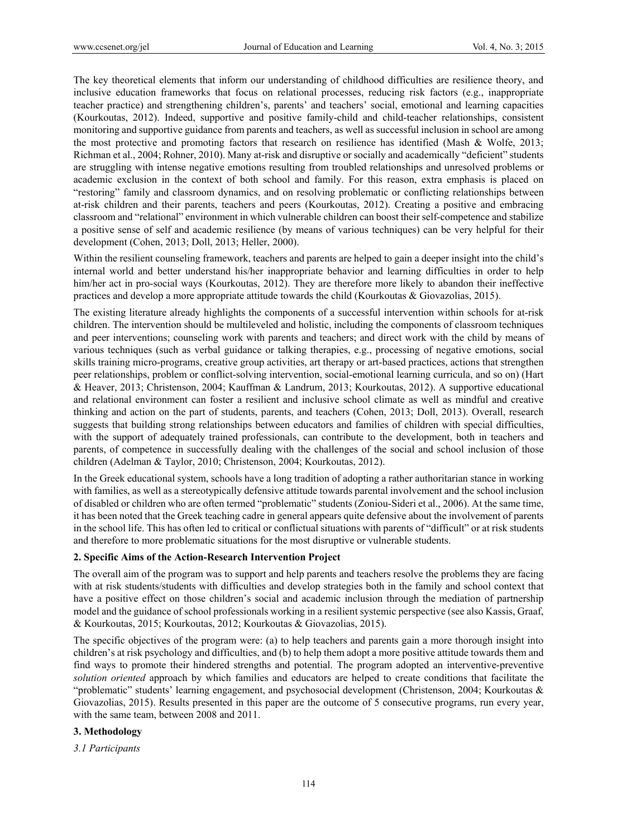The key theoretical elements that inform our understanding of childhood difficulties are resilience theory, and inclusive education frameworks that focus on relational processes, reducing risk factors (e.g., inappropriate teacher practice) and strengthening children's, parents' and teachers' social, emotional and learning capacities (Kourkoutas, 2012). Indeed, supportive and positive family-child and child-teacher relationships, consistent monitoring and supportive guidance from parents and teachers, as well as successful inclusion in school are among the most protective and promoting factors that research on resilience has identified (Mash & Wolfe, 2013; Richman et al., 2004; Rohner, 2010). Many at-risk and disruptive or socially and academically "deficient" students are struggling with intense negative emotions resulting from troubled relationships and unresolved problems or academic exclusion in the context of both school and family. For this reason, extra emphasis is placed on "restoring" family and classroom dynamics, and on resolving problematic or conflicting relationships between at-risk children and their parents, teachers and peers (Kourkoutas, 2012). Creating a positive and embracing classroom and "relational" environment in which vulnerable children can boost their self-competence and stabilize a positive sense of self and academic resilience (by means of various techniques) can be very helpful for their development (Cohen, 2013; Doll, 2013; Heller, 2000).

Within the resilient counseling framework, teachers and parents are helped to gain a deeper insight into the child's internal world and better understand his/her inappropriate behavior and learning difficulties in order to help him/her act in pro-social ways (Kourkoutas, 2012). They are therefore more likely to abandon their ineffective practices and develop a more appropriate attitude towards the child (Kourkoutas & Giovazolias, 2015).

The existing literature already highlights the components of a successful intervention within schools for at-risk children. The intervention should be multileveled and holistic, including the components of classroom techniques and peer interventions; counseling work with parents and teachers; and direct work with the child by means of various techniques (such as verbal guidance or talking therapies, e.g., processing of negative emotions, social skills training micro-programs, creative group activities, art therapy or art-based practices, actions that strengthen peer relationships, problem or conflict-solving intervention, social-emotional learning curricula, and so on) (Hart & Heaver, 2013; Christenson, 2004; Kauffman & Landrum, 2013; Kourkoutas, 2012). A supportive educational and relational environment can foster a resilient and inclusive school climate as well as mindful and creative thinking and action on the part of students, parents, and teachers (Cohen, 2013; Doll, 2013). Overall, research suggests that building strong relationships between educators and families of children with special difficulties, with the support of adequately trained professionals, can contribute to the development, both in teachers and parents, of competence in successfully dealing with the challenges of the social and school inclusion of those children (Adelman & Taylor, 2010; Christenson, 2004; Kourkoutas, 2012).

In the Greek educational system, schools have a long tradition of adopting a rather authoritarian stance in working with families, as well as a stereotypically defensive attitude towards parental involvement and the school inclusion of disabled or children who are often termed "problematic" students (Zoniou-Sideri et al., 2006). At the same time, it has been noted that the Greek teaching cadre in general appears quite defensive about the involvement of parents in the school life. This has often led to critical or conflictual situations with parents of "difficult" or at risk students and therefore to more problematic situations for the most disruptive or vulnerable students.

## **2. Specific Aims of the Action-Research Intervention Project**

The overall aim of the program was to support and help parents and teachers resolve the problems they are facing with at risk students/students with difficulties and develop strategies both in the family and school context that have a positive effect on those children's social and academic inclusion through the mediation of partnership model and the guidance of school professionals working in a resilient systemic perspective (see also Kassis, Graaf, & Kourkoutas, 2015; Kourkoutas, 2012; Kourkoutas & Giovazolias, 2015).

The specific objectives of the program were: (a) to help teachers and parents gain a more thorough insight into children's at risk psychology and difficulties, and (b) to help them adopt a more positive attitude towards them and find ways to promote their hindered strengths and potential. The program adopted an interventive-preventive *solution oriented* approach by which families and educators are helped to create conditions that facilitate the "problematic" students' learning engagement, and psychosocial development (Christenson, 2004; Kourkoutas & Giovazolias, 2015). Results presented in this paper are the outcome of 5 consecutive programs, run every year, with the same team, between 2008 and 2011.

## **3. Methodology**

*3.1 Participants*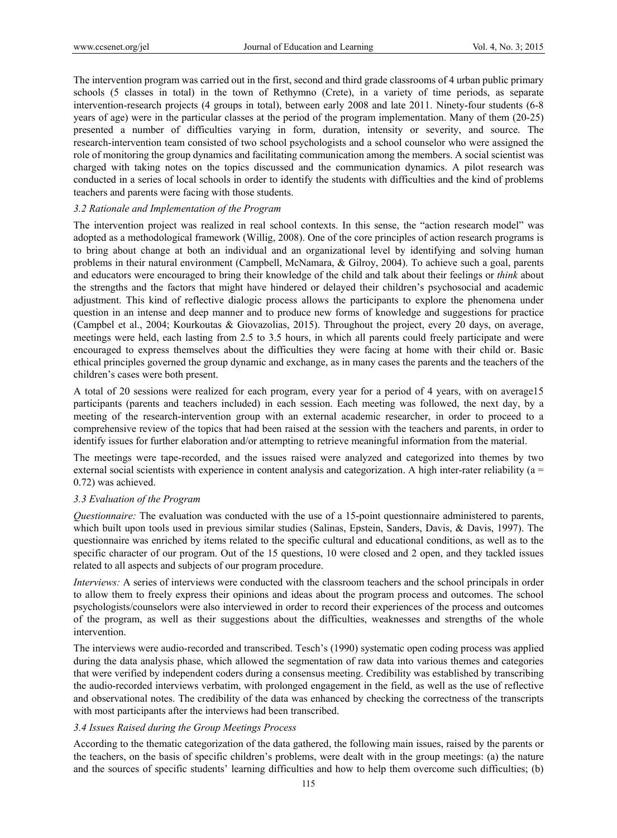The intervention program was carried out in the first, second and third grade classrooms of 4 urban public primary schools (5 classes in total) in the town of Rethymno (Crete), in a variety of time periods, as separate intervention-research projects (4 groups in total), between early 2008 and late 2011. Ninety-four students (6-8 years of age) were in the particular classes at the period of the program implementation. Many of them (20-25) presented a number of difficulties varying in form, duration, intensity or severity, and source. The research-intervention team consisted of two school psychologists and a school counselor who were assigned the role of monitoring the group dynamics and facilitating communication among the members. A social scientist was charged with taking notes on the topics discussed and the communication dynamics. A pilot research was conducted in a series of local schools in order to identify the students with difficulties and the kind of problems teachers and parents were facing with those students.

#### *3.2 Rationale and Implementation of the Program*

The intervention project was realized in real school contexts. In this sense, the "action research model" was adopted as a methodological framework (Willig, 2008). One of the core principles of action research programs is to bring about change at both an individual and an organizational level by identifying and solving human problems in their natural environment (Campbell, McNamara, & Gilroy, 2004). To achieve such a goal, parents and educators were encouraged to bring their knowledge of the child and talk about their feelings or *think* about the strengths and the factors that might have hindered or delayed their children's psychosocial and academic adjustment. This kind of reflective dialogic process allows the participants to explore the phenomena under question in an intense and deep manner and to produce new forms of knowledge and suggestions for practice (Campbel et al., 2004; Kourkoutas & Giovazolias, 2015). Throughout the project, every 20 days, on average, meetings were held, each lasting from 2.5 to 3.5 hours, in which all parents could freely participate and were encouraged to express themselves about the difficulties they were facing at home with their child or. Basic ethical principles governed the group dynamic and exchange, as in many cases the parents and the teachers of the children's cases were both present.

A total of 20 sessions were realized for each program, every year for a period of 4 years, with on average15 participants (parents and teachers included) in each session. Each meeting was followed, the next day, by a meeting of the research-intervention group with an external academic researcher, in order to proceed to a comprehensive review of the topics that had been raised at the session with the teachers and parents, in order to identify issues for further elaboration and/or attempting to retrieve meaningful information from the material.

The meetings were tape-recorded, and the issues raised were analyzed and categorized into themes by two external social scientists with experience in content analysis and categorization. A high inter-rater reliability ( $a =$ 0.72) was achieved.

## *3.3 Evaluation of the Program*

*Questionnaire:* The evaluation was conducted with the use of a 15-point questionnaire administered to parents, which built upon tools used in previous similar studies (Salinas, Epstein, Sanders, Davis, & Davis, 1997). The questionnaire was enriched by items related to the specific cultural and educational conditions, as well as to the specific character of our program. Out of the 15 questions, 10 were closed and 2 open, and they tackled issues related to all aspects and subjects of our program procedure.

*Interviews:* A series of interviews were conducted with the classroom teachers and the school principals in order to allow them to freely express their opinions and ideas about the program process and outcomes. The school psychologists/counselors were also interviewed in order to record their experiences of the process and outcomes of the program, as well as their suggestions about the difficulties, weaknesses and strengths of the whole intervention.

The interviews were audio-recorded and transcribed. Tesch's (1990) systematic open coding process was applied during the data analysis phase, which allowed the segmentation of raw data into various themes and categories that were verified by independent coders during a consensus meeting. Credibility was established by transcribing the audio-recorded interviews verbatim, with prolonged engagement in the field, as well as the use of reflective and observational notes. The credibility of the data was enhanced by checking the correctness of the transcripts with most participants after the interviews had been transcribed.

## *3.4 Issues Raised during the Group Meetings Process*

According to the thematic categorization of the data gathered, the following main issues, raised by the parents or the teachers, on the basis of specific children's problems, were dealt with in the group meetings: (a) the nature and the sources of specific students' learning difficulties and how to help them overcome such difficulties; (b)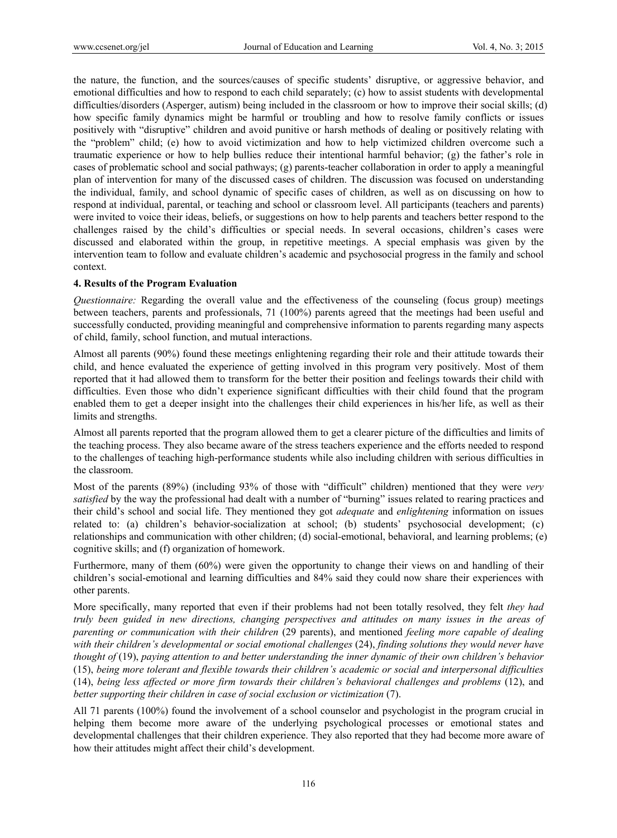the nature, the function, and the sources/causes of specific students' disruptive, or aggressive behavior, and emotional difficulties and how to respond to each child separately; (c) how to assist students with developmental difficulties/disorders (Asperger, autism) being included in the classroom or how to improve their social skills; (d) how specific family dynamics might be harmful or troubling and how to resolve family conflicts or issues positively with "disruptive" children and avoid punitive or harsh methods of dealing or positively relating with the "problem" child; (e) how to avoid victimization and how to help victimized children overcome such a traumatic experience or how to help bullies reduce their intentional harmful behavior; (g) the father's role in cases of problematic school and social pathways; (g) parents-teacher collaboration in order to apply a meaningful plan of intervention for many of the discussed cases of children. The discussion was focused on understanding the individual, family, and school dynamic of specific cases of children, as well as on discussing on how to respond at individual, parental, or teaching and school or classroom level. All participants (teachers and parents) were invited to voice their ideas, beliefs, or suggestions on how to help parents and teachers better respond to the challenges raised by the child's difficulties or special needs. In several occasions, children's cases were discussed and elaborated within the group, in repetitive meetings. A special emphasis was given by the intervention team to follow and evaluate children's academic and psychosocial progress in the family and school context.

#### **4. Results of the Program Evaluation**

*Questionnaire:* Regarding the overall value and the effectiveness of the counseling (focus group) meetings between teachers, parents and professionals, 71 (100%) parents agreed that the meetings had been useful and successfully conducted, providing meaningful and comprehensive information to parents regarding many aspects of child, family, school function, and mutual interactions.

Almost all parents (90%) found these meetings enlightening regarding their role and their attitude towards their child, and hence evaluated the experience of getting involved in this program very positively. Most of them reported that it had allowed them to transform for the better their position and feelings towards their child with difficulties. Even those who didn't experience significant difficulties with their child found that the program enabled them to get a deeper insight into the challenges their child experiences in his/her life, as well as their limits and strengths.

Almost all parents reported that the program allowed them to get a clearer picture of the difficulties and limits of the teaching process. They also became aware of the stress teachers experience and the efforts needed to respond to the challenges of teaching high-performance students while also including children with serious difficulties in the classroom.

Most of the parents (89%) (including 93% of those with "difficult" children) mentioned that they were *very satisfied* by the way the professional had dealt with a number of "burning" issues related to rearing practices and their child's school and social life. They mentioned they got *adequate* and *enlightening* information on issues related to: (a) children's behavior-socialization at school; (b) students' psychosocial development; (c) relationships and communication with other children; (d) social-emotional, behavioral, and learning problems; (e) cognitive skills; and (f) organization of homework.

Furthermore, many of them (60%) were given the opportunity to change their views on and handling of their children's social-emotional and learning difficulties and 84% said they could now share their experiences with other parents.

More specifically, many reported that even if their problems had not been totally resolved, they felt *they had truly been guided in new directions, changing perspectives and attitudes on many issues in the areas of parenting or communication with their children* (29 parents), and mentioned *feeling more capable of dealing with their children's developmental or social emotional challenges* (24), *finding solutions they would never have thought of* (19), *paying attention to and better understanding the inner dynamic of their own children's behavior* (15), *being more tolerant and flexible towards their children's academic or social and interpersonal difficulties* (14), *being less affected or more firm towards their children's behavioral challenges and problems* (12), and *better supporting their children in case of social exclusion or victimization* (7).

All 71 parents (100%) found the involvement of a school counselor and psychologist in the program crucial in helping them become more aware of the underlying psychological processes or emotional states and developmental challenges that their children experience. They also reported that they had become more aware of how their attitudes might affect their child's development.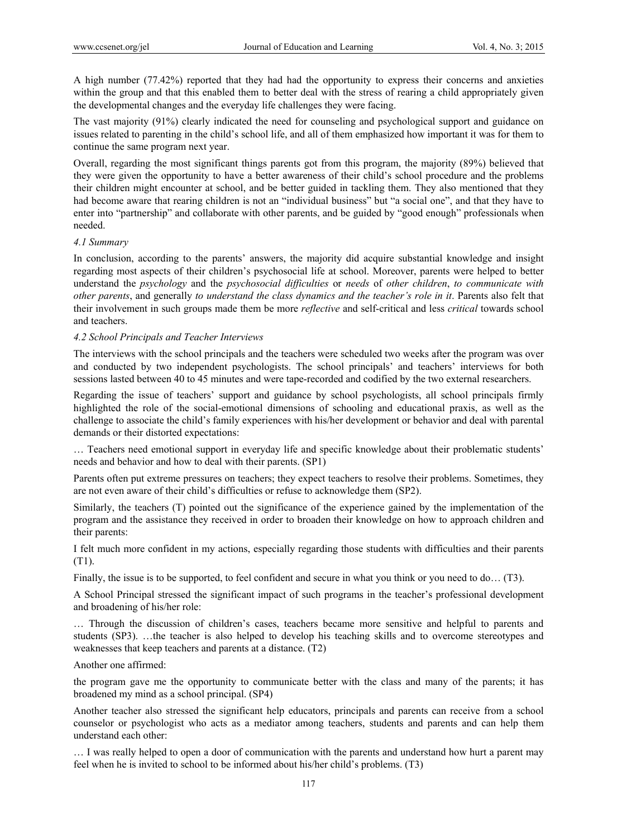A high number (77.42%) reported that they had had the opportunity to express their concerns and anxieties within the group and that this enabled them to better deal with the stress of rearing a child appropriately given the developmental changes and the everyday life challenges they were facing.

The vast majority (91%) clearly indicated the need for counseling and psychological support and guidance on issues related to parenting in the child's school life, and all of them emphasized how important it was for them to continue the same program next year.

Overall, regarding the most significant things parents got from this program, the majority (89%) believed that they were given the opportunity to have a better awareness of their child's school procedure and the problems their children might encounter at school, and be better guided in tackling them. They also mentioned that they had become aware that rearing children is not an "individual business" but "a social one", and that they have to enter into "partnership" and collaborate with other parents, and be guided by "good enough" professionals when needed.

## *4.1 Summary*

In conclusion, according to the parents' answers, the majority did acquire substantial knowledge and insight regarding most aspects of their children's psychosocial life at school. Moreover, parents were helped to better understand the *psychology* and the *psychosocial difficulties* or *needs* of *other children*, *to communicate with other parents*, and generally *to understand the class dynamics and the teacher's role in it*. Parents also felt that their involvement in such groups made them be more *reflective* and self-critical and less *critical* towards school and teachers.

## *4.2 School Principals and Teacher Interviews*

The interviews with the school principals and the teachers were scheduled two weeks after the program was over and conducted by two independent psychologists. The school principals' and teachers' interviews for both sessions lasted between 40 to 45 minutes and were tape-recorded and codified by the two external researchers.

Regarding the issue of teachers' support and guidance by school psychologists, all school principals firmly highlighted the role of the social-emotional dimensions of schooling and educational praxis, as well as the challenge to associate the child's family experiences with his/her development or behavior and deal with parental demands or their distorted expectations:

… Teachers need emotional support in everyday life and specific knowledge about their problematic students' needs and behavior and how to deal with their parents. (SP1)

Parents often put extreme pressures on teachers; they expect teachers to resolve their problems. Sometimes, they are not even aware of their child's difficulties or refuse to acknowledge them (SP2).

Similarly, the teachers (T) pointed out the significance of the experience gained by the implementation of the program and the assistance they received in order to broaden their knowledge on how to approach children and their parents:

I felt much more confident in my actions, especially regarding those students with difficulties and their parents (T1).

Finally, the issue is to be supported, to feel confident and secure in what you think or you need to do… (T3).

A School Principal stressed the significant impact of such programs in the teacher's professional development and broadening of his/her role:

… Through the discussion of children's cases, teachers became more sensitive and helpful to parents and students (SP3). …the teacher is also helped to develop his teaching skills and to overcome stereotypes and weaknesses that keep teachers and parents at a distance. (T2)

## Another one affirmed:

the program gave me the opportunity to communicate better with the class and many of the parents; it has broadened my mind as a school principal. (SP4)

Another teacher also stressed the significant help educators, principals and parents can receive from a school counselor or psychologist who acts as a mediator among teachers, students and parents and can help them understand each other:

… I was really helped to open a door of communication with the parents and understand how hurt a parent may feel when he is invited to school to be informed about his/her child's problems. (T3)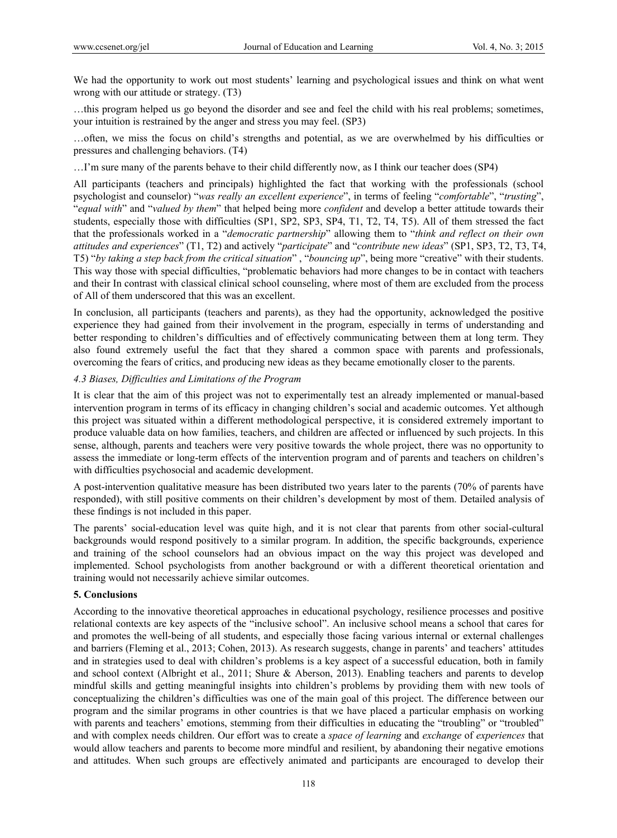We had the opportunity to work out most students' learning and psychological issues and think on what went wrong with our attitude or strategy. (T3)

…this program helped us go beyond the disorder and see and feel the child with his real problems; sometimes, your intuition is restrained by the anger and stress you may feel. (SP3)

…often, we miss the focus on child's strengths and potential, as we are overwhelmed by his difficulties or pressures and challenging behaviors. (T4)

…I'm sure many of the parents behave to their child differently now, as I think our teacher does (SP4)

All participants (teachers and principals) highlighted the fact that working with the professionals (school psychologist and counselor) "*was really an excellent experience*", in terms of feeling "*comfortable*", "*trusting*", "*equal with*" and "*valued by them*" that helped being more *confident* and develop a better attitude towards their students, especially those with difficulties (SP1, SP2, SP3, SP4, T1, T2, T4, T5). All of them stressed the fact that the professionals worked in a "*democratic partnership*" allowing them to "*think and reflect on their own attitudes and experiences*" (T1, T2) and actively "*participate*" and "*contribute new ideas*" (SP1, SP3, T2, T3, T4, T5) "*by taking a step back from the critical situation*" , "*bouncing up*", being more "creative" with their students. This way those with special difficulties, "problematic behaviors had more changes to be in contact with teachers and their In contrast with classical clinical school counseling, where most of them are excluded from the process of All of them underscored that this was an excellent.

In conclusion, all participants (teachers and parents), as they had the opportunity, acknowledged the positive experience they had gained from their involvement in the program, especially in terms of understanding and better responding to children's difficulties and of effectively communicating between them at long term. They also found extremely useful the fact that they shared a common space with parents and professionals, overcoming the fears of critics, and producing new ideas as they became emotionally closer to the parents.

## *4.3 Biases, Difficulties and Limitations of the Program*

It is clear that the aim of this project was not to experimentally test an already implemented or manual-based intervention program in terms of its efficacy in changing children's social and academic outcomes. Yet although this project was situated within a different methodological perspective, it is considered extremely important to produce valuable data on how families, teachers, and children are affected or influenced by such projects. In this sense, although, parents and teachers were very positive towards the whole project, there was no opportunity to assess the immediate or long-term effects of the intervention program and of parents and teachers on children's with difficulties psychosocial and academic development.

A post-intervention qualitative measure has been distributed two years later to the parents (70% of parents have responded), with still positive comments on their children's development by most of them. Detailed analysis of these findings is not included in this paper.

The parents' social-education level was quite high, and it is not clear that parents from other social-cultural backgrounds would respond positively to a similar program. In addition, the specific backgrounds, experience and training of the school counselors had an obvious impact on the way this project was developed and implemented. School psychologists from another background or with a different theoretical orientation and training would not necessarily achieve similar outcomes.

## **5. Conclusions**

According to the innovative theoretical approaches in educational psychology, resilience processes and positive relational contexts are key aspects of the "inclusive school". An inclusive school means a school that cares for and promotes the well-being of all students, and especially those facing various internal or external challenges and barriers (Fleming et al., 2013; Cohen, 2013). As research suggests, change in parents' and teachers' attitudes and in strategies used to deal with children's problems is a key aspect of a successful education, both in family and school context (Albright et al., 2011; Shure & Aberson, 2013). Enabling teachers and parents to develop mindful skills and getting meaningful insights into children's problems by providing them with new tools of conceptualizing the children's difficulties was one of the main goal of this project. The difference between our program and the similar programs in other countries is that we have placed a particular emphasis on working with parents and teachers' emotions, stemming from their difficulties in educating the "troubling" or "troubled" and with complex needs children. Our effort was to create a *space of learning* and *exchange* of *experiences* that would allow teachers and parents to become more mindful and resilient, by abandoning their negative emotions and attitudes. When such groups are effectively animated and participants are encouraged to develop their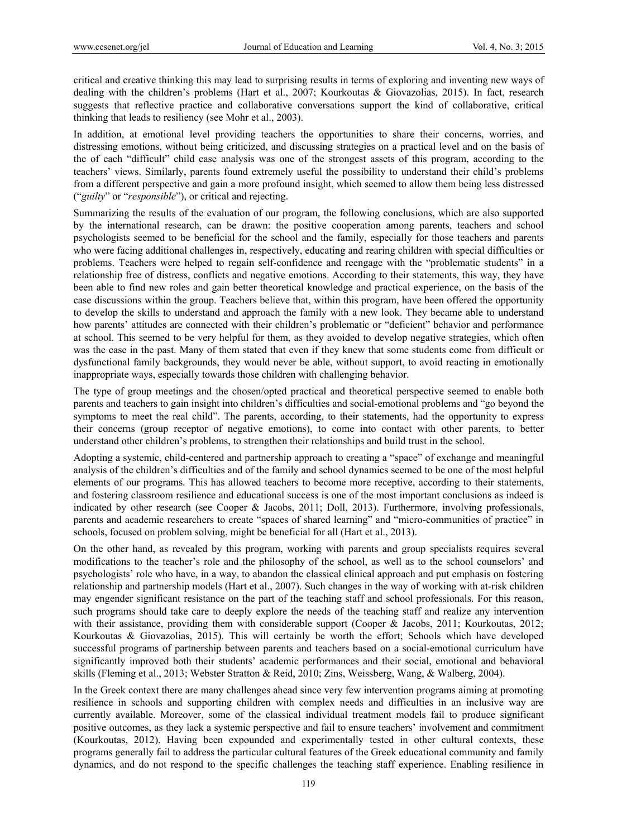critical and creative thinking this may lead to surprising results in terms of exploring and inventing new ways of dealing with the children's problems (Hart et al., 2007; Kourkoutas & Giovazolias, 2015). In fact, research suggests that reflective practice and collaborative conversations support the kind of collaborative, critical thinking that leads to resiliency (see Mohr et al., 2003).

In addition, at emotional level providing teachers the opportunities to share their concerns, worries, and distressing emotions, without being criticized, and discussing strategies on a practical level and on the basis of the of each "difficult" child case analysis was one of the strongest assets of this program, according to the teachers' views. Similarly, parents found extremely useful the possibility to understand their child's problems from a different perspective and gain a more profound insight, which seemed to allow them being less distressed ("*guilty*" or "*responsible*"), or critical and rejecting.

Summarizing the results of the evaluation of our program, the following conclusions, which are also supported by the international research, can be drawn: the positive cooperation among parents, teachers and school psychologists seemed to be beneficial for the school and the family, especially for those teachers and parents who were facing additional challenges in, respectively, educating and rearing children with special difficulties or problems. Teachers were helped to regain self-confidence and reengage with the "problematic students" in a relationship free of distress, conflicts and negative emotions. According to their statements, this way, they have been able to find new roles and gain better theoretical knowledge and practical experience, on the basis of the case discussions within the group. Teachers believe that, within this program, have been offered the opportunity to develop the skills to understand and approach the family with a new look. They became able to understand how parents' attitudes are connected with their children's problematic or "deficient" behavior and performance at school. This seemed to be very helpful for them, as they avoided to develop negative strategies, which often was the case in the past. Many of them stated that even if they knew that some students come from difficult or dysfunctional family backgrounds, they would never be able, without support, to avoid reacting in emotionally inappropriate ways, especially towards those children with challenging behavior.

The type of group meetings and the chosen/opted practical and theoretical perspective seemed to enable both parents and teachers to gain insight into children's difficulties and social-emotional problems and "go beyond the symptoms to meet the real child". The parents, according, to their statements, had the opportunity to express their concerns (group receptor of negative emotions), to come into contact with other parents, to better understand other children's problems, to strengthen their relationships and build trust in the school.

Adopting a systemic, child-centered and partnership approach to creating a "space" of exchange and meaningful analysis of the children's difficulties and of the family and school dynamics seemed to be one of the most helpful elements of our programs. This has allowed teachers to become more receptive, according to their statements, and fostering classroom resilience and educational success is one of the most important conclusions as indeed is indicated by other research (see Cooper & Jacobs, 2011; Doll, 2013). Furthermore, involving professionals, parents and academic researchers to create "spaces of shared learning" and "micro-communities of practice" in schools, focused on problem solving, might be beneficial for all (Hart et al., 2013).

On the other hand, as revealed by this program, working with parents and group specialists requires several modifications to the teacher's role and the philosophy of the school, as well as to the school counselors' and psychologists' role who have, in a way, to abandon the classical clinical approach and put emphasis on fostering relationship and partnership models (Hart et al., 2007). Such changes in the way of working with at-risk children may engender significant resistance on the part of the teaching staff and school professionals. For this reason, such programs should take care to deeply explore the needs of the teaching staff and realize any intervention with their assistance, providing them with considerable support (Cooper & Jacobs, 2011; Kourkoutas, 2012; Kourkoutas & Giovazolias, 2015). This will certainly be worth the effort; Schools which have developed successful programs of partnership between parents and teachers based on a social-emotional curriculum have significantly improved both their students' academic performances and their social, emotional and behavioral skills (Fleming et al., 2013; Webster Stratton & Reid, 2010; Zins, Weissberg, Wang, & Walberg, 2004).

In the Greek context there are many challenges ahead since very few intervention programs aiming at promoting resilience in schools and supporting children with complex needs and difficulties in an inclusive way are currently available. Moreover, some of the classical individual treatment models fail to produce significant positive outcomes, as they lack a systemic perspective and fail to ensure teachers' involvement and commitment (Kourkoutas, 2012). Having been expounded and experimentally tested in other cultural contexts, these programs generally fail to address the particular cultural features of the Greek educational community and family dynamics, and do not respond to the specific challenges the teaching staff experience. Enabling resilience in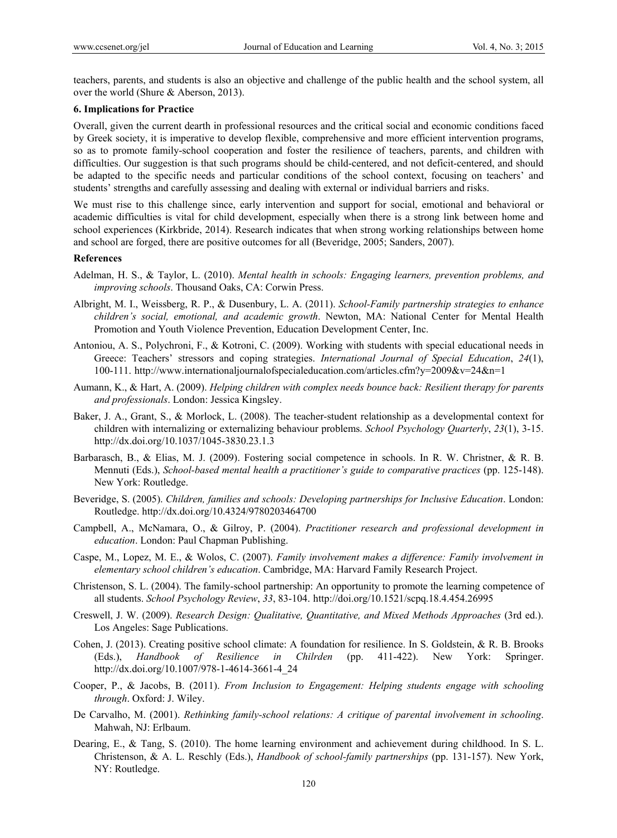teachers, parents, and students is also an objective and challenge of the public health and the school system, all over the world (Shure & Aberson, 2013).

#### **6. Implications for Practice**

Overall, given the current dearth in professional resources and the critical social and economic conditions faced by Greek society, it is imperative to develop flexible, comprehensive and more efficient intervention programs, so as to promote family-school cooperation and foster the resilience of teachers, parents, and children with difficulties. Our suggestion is that such programs should be child-centered, and not deficit-centered, and should be adapted to the specific needs and particular conditions of the school context, focusing on teachers' and students' strengths and carefully assessing and dealing with external or individual barriers and risks.

We must rise to this challenge since, early intervention and support for social, emotional and behavioral or academic difficulties is vital for child development, especially when there is a strong link between home and school experiences (Kirkbride, 2014). Research indicates that when strong working relationships between home and school are forged, there are positive outcomes for all (Beveridge, 2005; Sanders, 2007).

#### **References**

- Adelman, H. S., & Taylor, L. (2010). *Mental health in schools: Engaging learners, prevention problems, and improving schools*. Thousand Oaks, CA: Corwin Press.
- Albright, M. I., Weissberg, R. P., & Dusenbury, L. A. (2011). *School-Family partnership strategies to enhance children's social, emotional, and academic growth*. Newton, MA: National Center for Mental Health Promotion and Youth Violence Prevention, Education Development Center, Inc.
- Antoniou, A. S., Polychroni, F., & Kotroni, C. (2009). Working with students with special educational needs in Greece: Teachers' stressors and coping strategies. *International Journal of Special Education*, *24*(1), 100-111. http://www.internationaljournalofspecialeducation.com/articles.cfm?y=2009&v=24&n=1
- Aumann, K., & Hart, A. (2009). *Helping children with complex needs bounce back: Resilient therapy for parents and professionals*. London: Jessica Kingsley.
- Baker, J. A., Grant, S., & Morlock, L. (2008). The teacher-student relationship as a developmental context for children with internalizing or externalizing behaviour problems. *School Psychology Quarterly*, *23*(1), 3-15. http://dx.doi.org/10.1037/1045-3830.23.1.3
- Barbarasch, B., & Elias, M. J. (2009). Fostering social competence in schools. In R. W. Christner, & R. B. Mennuti (Eds.), *School-based mental health a practitioner's guide to comparative practices* (pp. 125-148). New York: Routledge.
- Beveridge, S. (2005). *Children, families and schools: Developing partnerships for Inclusive Education*. London: Routledge. http://dx.doi.org/10.4324/9780203464700
- Campbell, A., McNamara, O., & Gilroy, P. (2004). *Practitioner research and professional development in education*. London: Paul Chapman Publishing.
- Caspe, M., Lopez, M. E., & Wolos, C. (2007). *Family involvement makes a difference: Family involvement in elementary school children's education*. Cambridge, MA: Harvard Family Research Project.
- Christenson, S. L. (2004). The family-school partnership: An opportunity to promote the learning competence of all students. *School Psychology Review*, *33*, 83-104. http://doi.org/10.1521/scpq.18.4.454.26995
- Creswell, J. W. (2009). *Research Design: Qualitative, Quantitative, and Mixed Methods Approaches* (3rd ed.). Los Angeles: Sage Publications.
- Cohen, J. (2013). Creating positive school climate: A foundation for resilience. In S. Goldstein, & R. B. Brooks (Eds.), *Handbook of Resilience in Chilrden* (pp. 411-422). New York: Springer. http://dx.doi.org/10.1007/978-1-4614-3661-4\_24
- Cooper, P., & Jacobs, B. (2011). *From Inclusion to Engagement: Helping students engage with schooling through*. Oxford: J. Wiley.
- De Carvalho, M. (2001). *Rethinking family-school relations: A critique of parental involvement in schooling*. Mahwah, NJ: Erlbaum.
- Dearing, E., & Tang, S. (2010). The home learning environment and achievement during childhood. In S. L. Christenson, & A. L. Reschly (Eds.), *Handbook of school-family partnerships* (pp. 131-157). New York, NY: Routledge.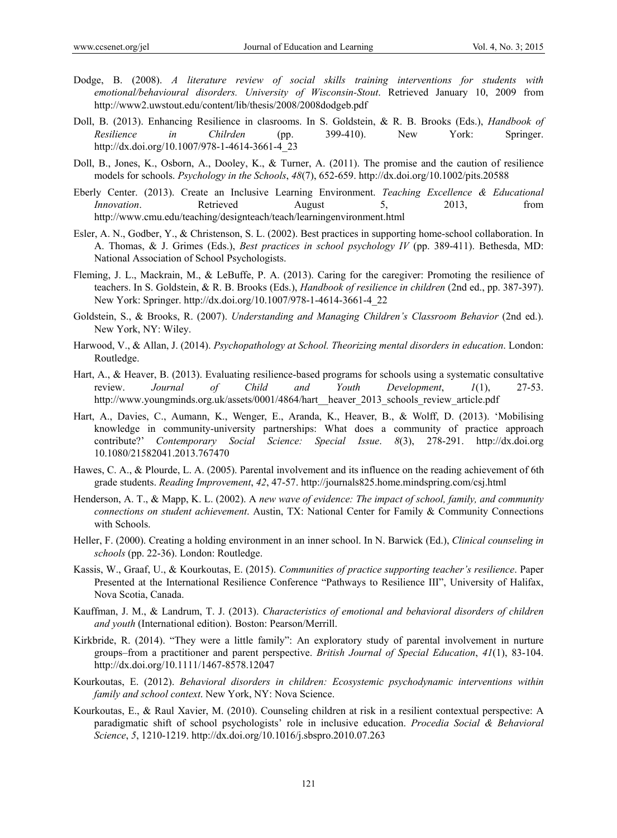- Dodge, Β. (2008). *A literature review of social skills training interventions for students with emotional/behavioural disorders. University of Wisconsin-Stout*. Retrieved January 10, 2009 from http://www2.uwstout.edu/content/lib/thesis/2008/2008dodgeb.pdf
- Doll, B. (2013). Enhancing Resilience in clasrooms. In S. Goldstein, & R. B. Brooks (Eds.), *Handbook of Resilience in Chilrden* (pp. 399-410). New York: Springer. http://dx.doi.org/10.1007/978-1-4614-3661-4\_23
- Doll, Β., Jones, K., Osborn, Α., Dooley, K., & Turner, Α. (2011). The promise and the caution of resilience models for schools. *Psychology in the Schools*, *48*(7), 652-659. http://dx.doi.org/10.1002/pits.20588
- Eberly Center. (2013). Create an Inclusive Learning Environment. *Teaching Excellence & Educational Innovation*. Retrieved August 5, 2013, from http://www.cmu.edu/teaching/designteach/teach/learningenvironment.html
- Esler, A. N., Godber, Y., & Christenson, S. L. (2002). Best practices in supporting home-school collaboration. In A. Thomas, & J. Grimes (Eds.), *Best practices in school psychology IV* (pp. 389-411). Bethesda, MD: National Association of School Psychologists.
- Fleming, J. L., Mackrain, M., & LeBuffe, P. A. (2013). Caring for the caregiver: Promoting the resilience of teachers. In S. Goldstein, & R. B. Brooks (Eds.), *Handbook of resilience in children* (2nd ed., pp. 387-397). New York: Springer. http://dx.doi.org/10.1007/978-1-4614-3661-4\_22
- Goldstein, S., & Brooks, R. (2007). *Understanding and Managing Children's Classroom Behavior* (2nd ed.). New York, NY: Wiley.
- Harwood, V., & Allan, J. (2014). *Psychopathology at School. Theorizing mental disorders in education*. London: Routledge.
- Hart, A., & Heaver, B. (2013). Evaluating resilience-based programs for schools using a systematic consultative review. *Journal of Child and Youth Development*, *1*(1), 27-53. http://www.youngminds.org.uk/assets/0001/4864/hart\_heaver\_2013\_schools\_review\_article.pdf
- Hart, A., Davies, C., Aumann, K., Wenger, E., Aranda, K., Heaver, B., & Wolff, D. (2013). 'Mobilising knowledge in community-university partnerships: What does a community of practice approach contribute?' *Contemporary Social Science: Special Issue*. *8*(3), 278-291. http://dx.doi.org 10.1080/21582041.2013.767470
- Hawes, C. A., & Plourde, L. A. (2005). Parental involvement and its influence on the reading achievement of 6th grade students. *Reading Improvement*, *42*, 47-57. http://journals825.home.mindspring.com/csj.html
- Henderson, A. T., & Mapp, K. L. (2002). A *new wave of evidence: The impact of school, family, and community connections on student achievement*. Austin, TX: National Center for Family & Community Connections with Schools.
- Heller, F. (2000). Creating a holding environment in an inner school. In N. Barwick (Ed.), *Clinical counseling in schools* (pp. 22-36). London: Routledge.
- Kassis, W., Graaf, U., & Kourkoutas, E. (2015). *Communities of practice supporting teacher's resilience*. Paper Presented at the International Resilience Conference "Pathways to Resilience III", University of Halifax, Nova Scotia, Canada.
- Kauffman, J. M., & Landrum, T. J. (2013). *Characteristics of emotional and behavioral disorders of children and youth* (International edition). Boston: Pearson/Merrill.
- Kirkbride, R. (2014). "They were a little family": An exploratory study of parental involvement in nurture groups–from a practitioner and parent perspective. *British Journal of Special Education*, *41*(1), 83-104. http://dx.doi.org/10.1111/1467-8578.12047
- Kourkoutas, E. (2012). *Behavioral disorders in children: Ecosystemic psychodynamic interventions within family and school context*. New York, NY: Nova Science.
- Kourkoutas, E., & Raul Xavier, M. (2010). Counseling children at risk in a resilient contextual perspective: A paradigmatic shift of school psychologists' role in inclusive education. *Procedia Social & Behavioral Science*, *5*, 1210-1219. http://dx.doi.org/10.1016/j.sbspro.2010.07.263